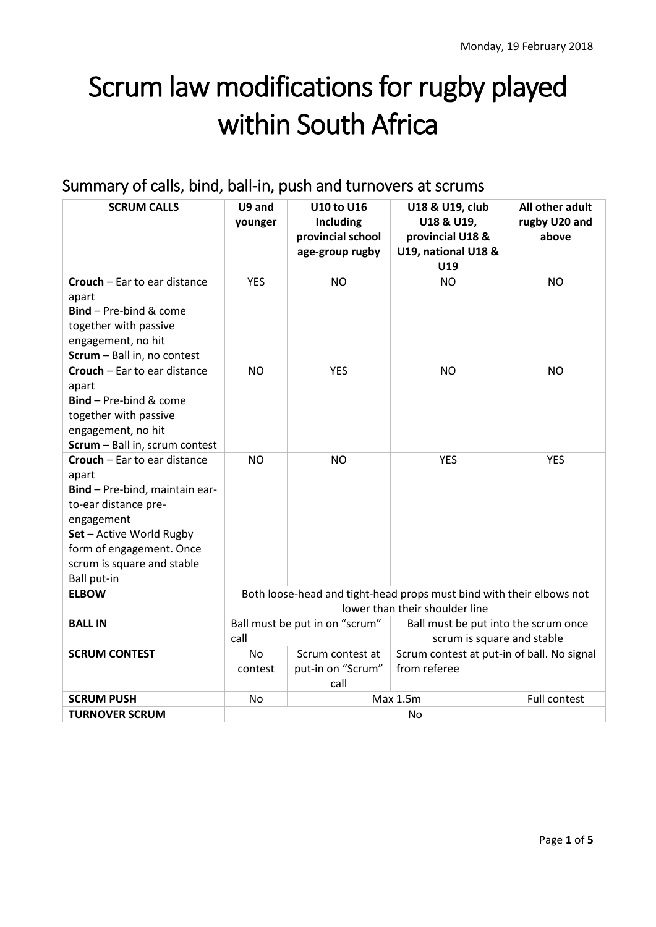# Scrum law modifications for rugby played within South Africa

# Summary of calls, bind, ball-in, push and turnovers at scrums

| <b>SCRUM CALLS</b>                                                                                                                                                                                                 | U9 and<br>younger                                                                                      | <b>U10 to U16</b><br><b>Including</b><br>provincial school<br>age-group rugby | U18 & U19, club<br>U18 & U19,<br>provincial U18 &<br>U19, national U18 &<br>U19 | All other adult<br>rugby U20 and<br>above |
|--------------------------------------------------------------------------------------------------------------------------------------------------------------------------------------------------------------------|--------------------------------------------------------------------------------------------------------|-------------------------------------------------------------------------------|---------------------------------------------------------------------------------|-------------------------------------------|
| <b>Crouch</b> – Ear to ear distance<br>apart<br>Bind - Pre-bind & come<br>together with passive<br>engagement, no hit<br>Scrum - Ball in, no contest                                                               | <b>YES</b>                                                                                             | <b>NO</b>                                                                     | <b>NO</b>                                                                       | <b>NO</b>                                 |
| Crouch - Ear to ear distance<br>apart<br>Bind - Pre-bind & come<br>together with passive<br>engagement, no hit<br>Scrum - Ball in, scrum contest                                                                   | <b>NO</b>                                                                                              | <b>YES</b>                                                                    | <b>NO</b>                                                                       | <b>NO</b>                                 |
| Crouch - Ear to ear distance<br>apart<br>Bind - Pre-bind, maintain ear-<br>to-ear distance pre-<br>engagement<br>Set - Active World Rugby<br>form of engagement. Once<br>scrum is square and stable<br>Ball put-in | <b>NO</b>                                                                                              | <b>NO</b>                                                                     | <b>YES</b>                                                                      | <b>YES</b>                                |
| <b>ELBOW</b>                                                                                                                                                                                                       | Both loose-head and tight-head props must bind with their elbows not<br>lower than their shoulder line |                                                                               |                                                                                 |                                           |
| <b>BALL IN</b>                                                                                                                                                                                                     | Ball must be put in on "scrum"<br>call                                                                 |                                                                               | Ball must be put into the scrum once<br>scrum is square and stable              |                                           |
| <b>SCRUM CONTEST</b>                                                                                                                                                                                               | <b>No</b><br>contest                                                                                   | Scrum contest at<br>put-in on "Scrum"<br>call                                 | Scrum contest at put-in of ball. No signal<br>from referee                      |                                           |
| <b>SCRUM PUSH</b><br><b>TURNOVER SCRUM</b>                                                                                                                                                                         | Max 1.5m<br>Full contest<br>No<br>No                                                                   |                                                                               |                                                                                 |                                           |
|                                                                                                                                                                                                                    |                                                                                                        |                                                                               |                                                                                 |                                           |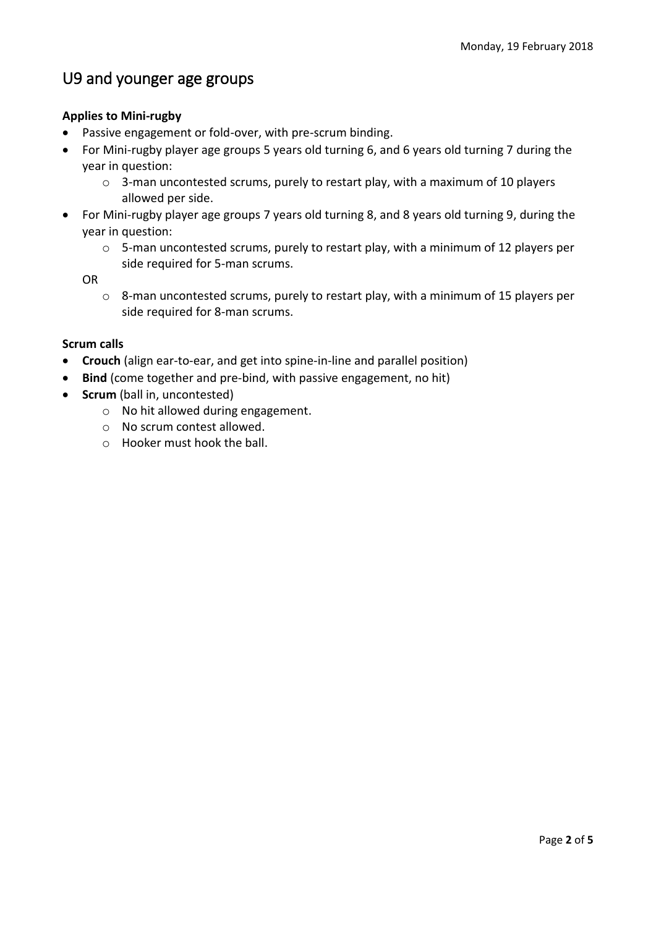## U9 and younger age groups

### **Applies to Mini‐rugby**

- Passive engagement or fold-over, with pre-scrum binding.
- For Mini‐rugby player age groups 5 years old turning 6, and 6 years old turning 7 during the year in question:
	- $\circ$  3-man uncontested scrums, purely to restart play, with a maximum of 10 players allowed per side.
- For Mini‐rugby player age groups 7 years old turning 8, and 8 years old turning 9, during the year in question:
	- o 5‐man uncontested scrums, purely to restart play, with a minimum of 12 players per side required for 5‐man scrums.

OR

 $\circ$  8-man uncontested scrums, purely to restart play, with a minimum of 15 players per side required for 8‐man scrums.

### **Scrum calls**

- **Crouch** (align ear‐to‐ear, and get into spine‐in‐line and parallel position)
- **Bind** (come together and pre-bind, with passive engagement, no hit)
- **Scrum** (ball in, uncontested)
	- o No hit allowed during engagement.
	- o No scrum contest allowed.
	- o Hooker must hook the ball.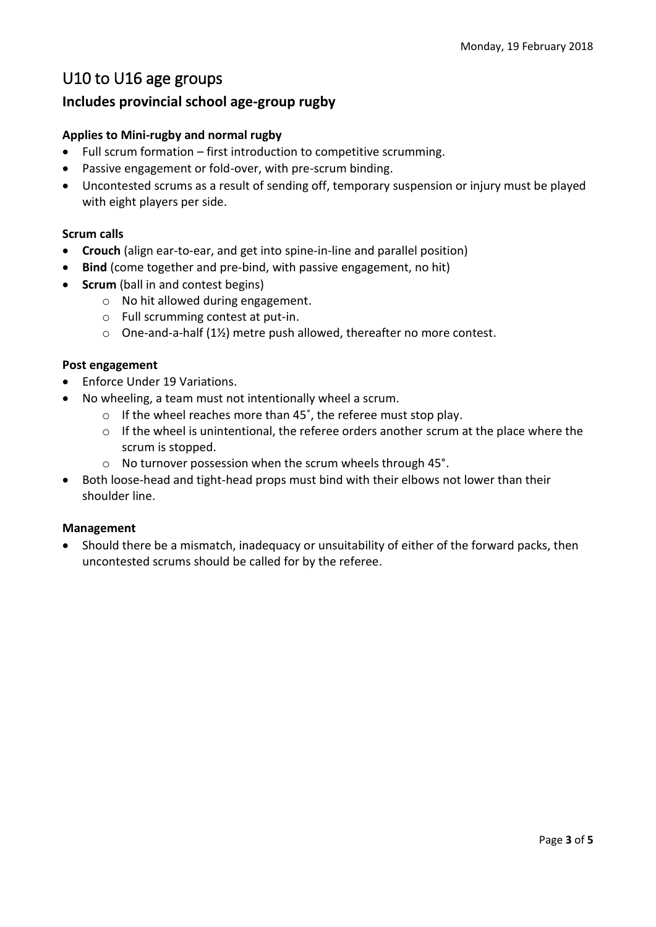## U10 to U16 age groups

### **Includes provincial school age-group rugby**

### **Applies to Mini-rugby and normal rugby**

- Full scrum formation first introduction to competitive scrumming.
- Passive engagement or fold-over, with pre-scrum binding.
- Uncontested scrums as a result of sending off, temporary suspension or injury must be played with eight players per side.

### **Scrum calls**

- **Crouch** (align ear-to-ear, and get into spine-in-line and parallel position)
- **Bind** (come together and pre-bind, with passive engagement, no hit)
- **Scrum** (ball in and contest begins)
	- o No hit allowed during engagement.
	- o Full scrumming contest at put‐in.
	- o One‐and‐a‐half (1½) metre push allowed, thereafter no more contest.

### **Post engagement**

- Enforce Under 19 Variations.
- No wheeling, a team must not intentionally wheel a scrum.
	- o If the wheel reaches more than 45˚, the referee must stop play.
	- o If the wheel is unintentional, the referee orders another scrum at the place where the scrum is stopped.
	- o No turnover possession when the scrum wheels through 45°.
- Both loose-head and tight-head props must bind with their elbows not lower than their shoulder line.

### **Management**

 Should there be a mismatch, inadequacy or unsuitability of either of the forward packs, then uncontested scrums should be called for by the referee.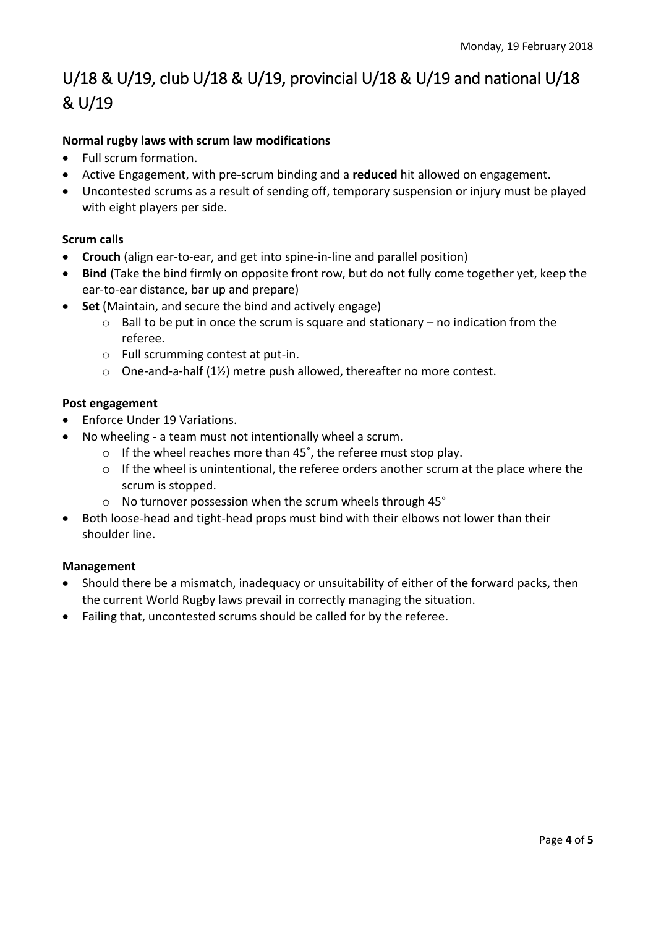# U/18 & U/19, club U/18 & U/19, provincial U/18 & U/19 and national U/18 & U/19

### **Normal rugby laws with scrum law modifications**

- Full scrum formation.
- Active Engagement, with pre‐scrum binding and a **reduced** hit allowed on engagement.
- Uncontested scrums as a result of sending off, temporary suspension or injury must be played with eight players per side.

### **Scrum calls**

- **Crouch** (align ear-to-ear, and get into spine-in-line and parallel position)
- **Bind** (Take the bind firmly on opposite front row, but do not fully come together yet, keep the ear-to-ear distance, bar up and prepare)
- **Set** (Maintain, and secure the bind and actively engage)
	- $\circ$  Ball to be put in once the scrum is square and stationary no indication from the referee.
	- o Full scrumming contest at put‐in.
	- o One‐and‐a‐half (1½) metre push allowed, thereafter no more contest.

### **Post engagement**

- Enforce Under 19 Variations.
- No wheeling a team must not intentionally wheel a scrum.
	- o If the wheel reaches more than 45˚, the referee must stop play.
	- $\circ$  If the wheel is unintentional, the referee orders another scrum at the place where the scrum is stopped.
	- o No turnover possession when the scrum wheels through 45°
- Both loose-head and tight-head props must bind with their elbows not lower than their shoulder line.

### **Management**

- Should there be a mismatch, inadequacy or unsuitability of either of the forward packs, then the current World Rugby laws prevail in correctly managing the situation.
- Failing that, uncontested scrums should be called for by the referee.